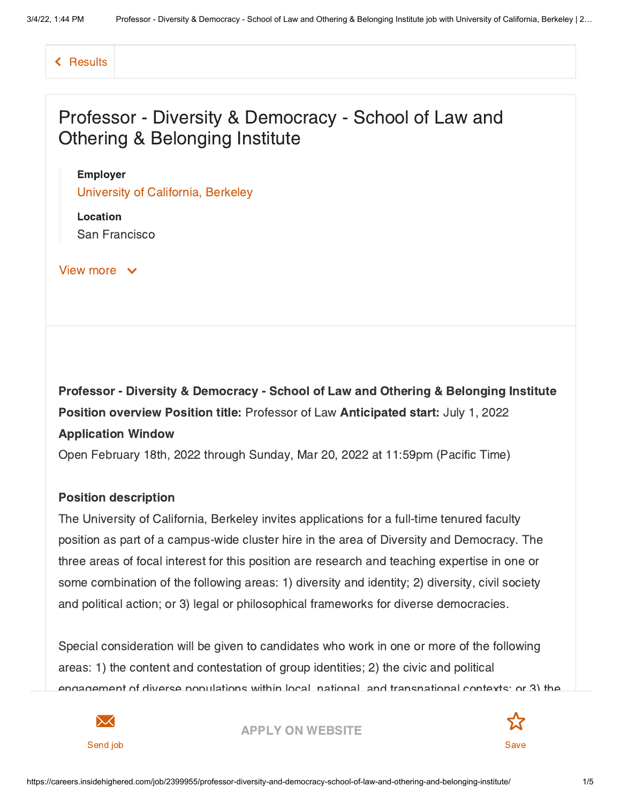[Results](https://careers.insidehighered.com/jobs)

# Professor - Diversity & Democracy - School of Law and Othering & Belonging Institute

#### Employer

University of [California,](https://careers.insidehighered.com/employer/4955/university-of-california-berkeley) Berkeley

Location San Francisco

View more  $\vee$ 

Professor - Diversity & Democracy - School of Law and Othering & Belonging Institute Position overview Position title: Professor of Law Anticipated start: July 1, 2022 Application Window

Open February 18th, 2022 through Sunday, Mar 20, 2022 at 11:59pm (Pacific Time)

#### Position description

The University of California, Berkeley invites applications for a full-time tenured faculty position as part of a campus-wide cluster hire in the area of Diversity and Democracy. The three areas of focal interest for this position are research and teaching expertise in one or some combination of the following areas: 1) diversity and identity; 2) diversity, civil society and political action; or 3) legal or philosophical frameworks for diverse democracies.

Special consideration will be given to candidates who work in one or more of the following areas: 1) the content and contestation of group identities; 2) the civic and political engagement of diverse populations within local, national, and transnational contexts; or 3) the



APPLY ON [WEBSITE](https://careers.insidehighered.com/apply/2399955/professor-diversity-and-democracy-school-of-law-and-othering-and-belonging-institute?LinkSource=JobDetails)

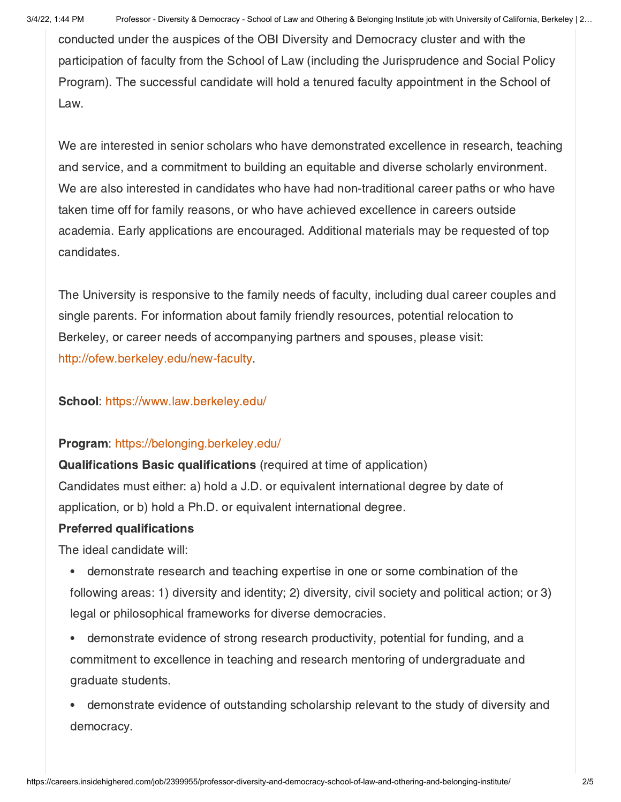conducted under the auspices of the OBI Diversity and Democracy cluster and with the participation of faculty from the School of Law (including the Jurisprudence and Social Policy Program). The successful candidate will hold a tenured faculty appointment in the School of Law.

We are interested in senior scholars who have demonstrated excellence in research, teaching and service, and a commitment to building an equitable and diverse scholarly environment. We are also interested in candidates who have had non-traditional career paths or who have taken time off for family reasons, or who have achieved excellence in careers outside academia. Early applications are encouraged. Additional materials may be requested of top candidates.

The University is responsive to the family needs of faculty, including dual career couples and single parents. For information about family friendly resources, potential relocation to Berkeley, or career needs of accompanying partners and spouses, please visit: [http://ofew.berkeley.edu/new-faculty](https://apptrkr.com/get_redirect.php?id=2869925&targetURL=http://ofew.berkeley.edu/new-faculty).

### School: [https://www.law.berkeley.edu/](https://apptrkr.com/get_redirect.php?id=2869925&targetURL=https://www.law.berkeley.edu/)

#### Program: [https://belonging.berkeley.edu/](https://apptrkr.com/get_redirect.php?id=2869925&targetURL=https://belonging.berkeley.edu/)

Qualifications Basic qualifications (required at time of application) Candidates must either: a) hold a J.D. or equivalent international degree by date of application, or b) hold a Ph.D. or equivalent international degree.

#### Preferred qualifications

The ideal candidate will:

- demonstrate research and teaching expertise in one or some combination of the following areas: 1) diversity and identity; 2) diversity, civil society and political action; or 3) legal or philosophical frameworks for diverse democracies.
- demonstrate evidence of strong research productivity, potential for funding, and a  $\bullet$ commitment to excellence in teaching and research mentoring of undergraduate and graduate students.
- demonstrate evidence of outstanding scholarship relevant to the study of diversity and democracy.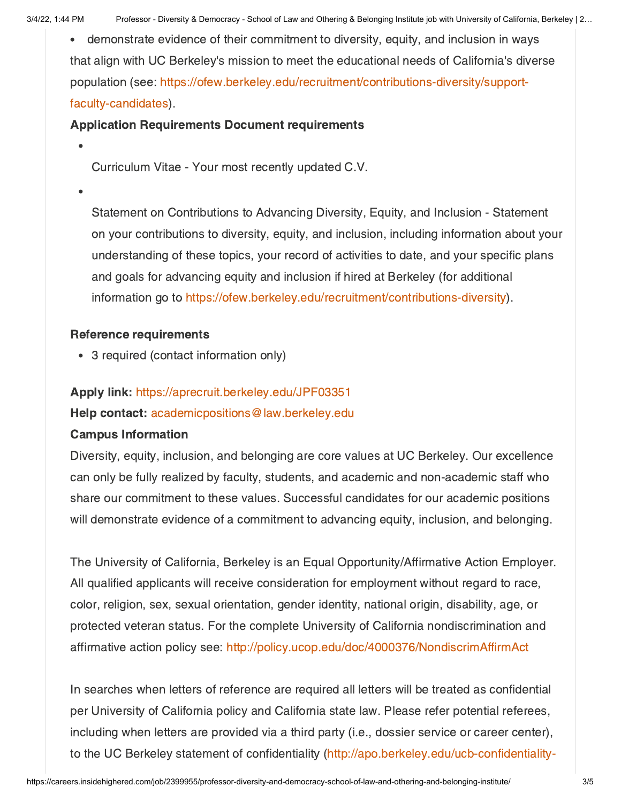demonstrate evidence of their commitment to diversity, equity, and inclusion in ways that align with UC Berkeley's mission to meet the educational needs of California's diverse population (see: [https://ofew.berkeley.edu/recruitment/contributions-diversity/support](https://apptrkr.com/get_redirect.php?id=2869925&targetURL=https://ofew.berkeley.edu/recruitment/contributions-diversity/support-faculty-candidates)faculty-candidates).

# Application Requirements Document requirements

Curriculum Vitae - Your most recently updated C.V.

Statement on Contributions to Advancing Diversity, Equity, and Inclusion - Statement on your contributions to diversity, equity, and inclusion, including information about your understanding of these topics, your record of activities to date, and your specific plans and goals for advancing equity and inclusion if hired at Berkeley (for additional information go to [https://ofew.berkeley.edu/recruitment/contributions-diversity](https://apptrkr.com/get_redirect.php?id=2869925&targetURL=https://ofew.berkeley.edu/recruitment/contributions-diversity)).

# Reference requirements

3 required (contact information only)

# Apply link: [https://aprecruit.berkeley.edu/JPF03351](https://apptrkr.com/2869925)

Help contact: [academicpositions@law.berkeley.edu](https://apptrkr.com/get_redirect.php?id=2869925&targetURL=mailto:academicpositions@law.berkeley.edu)

## Campus Information

Diversity, equity, inclusion, and belonging are core values at UC Berkeley. Our excellence can only be fully realized by faculty, students, and academic and non-academic staff who share our commitment to these values. Successful candidates for our academic positions will demonstrate evidence of a commitment to advancing equity, inclusion, and belonging.

The University of California, Berkeley is an Equal Opportunity/Affirmative Action Employer. All qualified applicants will receive consideration for employment without regard to race, color, religion, sex, sexual orientation, gender identity, national origin, disability, age, or protected veteran status. For the complete University of California nondiscrimination and affirmative action policy see: [http://policy.ucop.edu/doc/4000376/NondiscrimAffirmAct](https://apptrkr.com/get_redirect.php?id=2869925&targetURL=http://policy.ucop.edu/doc/4000376/NondiscrimAffirmAct)

In searches when letters of reference are required all letters will be treated as confidential per University of California policy and California state law. Please refer potential referees, including when letters are provided via a third party (i.e., dossier service or career center), to the UC Berkeley statement of confidentiality [\(http://apo.berkeley.edu/ucb-confidentiality-](https://apptrkr.com/get_redirect.php?id=2869925&targetURL=http://apo.berkeley.edu/ucb-confidentiality-policy)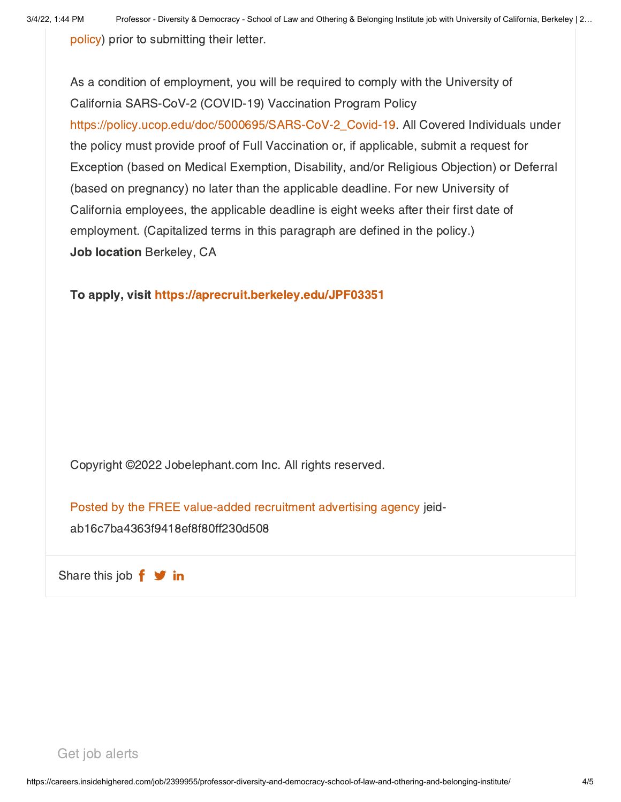policy) prior to [submitting](https://apptrkr.com/get_redirect.php?id=2869925&targetURL=http://apo.berkeley.edu/ucb-confidentiality-policy) their letter.

As a condition of employment, you will be required to comply with the University of California SARS-CoV-2 (COVID-19) Vaccination Program Policy [https://policy.ucop.edu/doc/5000695/SARS-CoV-2\\_Covid-19](https://apptrkr.com/get_redirect.php?id=2869925&targetURL=https://policy.ucop.edu/doc/5000695/SARS-CoV-2_Covid-19). All Covered Individuals under the policy must provide proof of Full Vaccination or, if applicable, submit a request for Exception (based on Medical Exemption, Disability, and/or Religious Objection) or Deferral (based on pregnancy) no later than the applicable deadline. For new University of California employees, the applicable deadline is eight weeks after their first date of employment. (Capitalized terms in this paragraph are defined in the policy.) Job location Berkeley, CA

To apply, visit [https://aprecruit.berkeley.edu/JPF03351](https://apptrkr.com/2869925)

Copyright ©2022 Jobelephant.com Inc. All rights reserved.

Posted by the FREE [value-added](https://www.jobelephant.com/) recruitment advertising agency jeid-

ab16c7ba4363f9418ef8f80ff230d508

Share this job  $f \blacktriangleright$  in